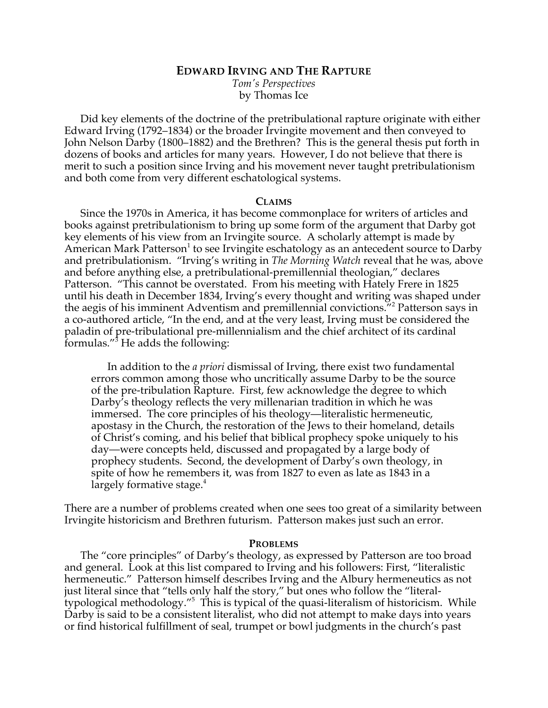# **EDWARD IRVING AND THE RAPTURE**

*Tom's Perspectives* by Thomas Ice

Did key elements of the doctrine of the pretribulational rapture originate with either Edward Irving (1792–1834) or the broader Irvingite movement and then conveyed to John Nelson Darby (1800–1882) and the Brethren? This is the general thesis put forth in dozens of books and articles for many years. However, I do not believe that there is merit to such a position since Irving and his movement never taught pretribulationism and both come from very different eschatological systems.

#### **CLAIMS**

Since the 1970s in America, it has become commonplace for writers of articles and books against pretribulationism to bring up some form of the argument that Darby got key elements of his view from an Irvingite source. A scholarly attempt is made by American Mark Patterson<sup>1</sup> to see Irvingite eschatology as an antecedent source to Darby and pretribulationism. "Irving's writing in *The Morning Watch* reveal that he was, above and before anything else, a pretribulational-premillennial theologian," declares Patterson. "This cannot be overstated. From his meeting with Hately Frere in 1825 until his death in December 1834, Irving's every thought and writing was shaped under the aegis of his imminent Adventism and premillennial convictions."2 Patterson says in a co-authored article, "In the end, and at the very least, Irving must be considered the paladin of pre-tribulational pre-millennialism and the chief architect of its cardinal formulas."3 He adds the following:

In addition to the *a priori* dismissal of Irving, there exist two fundamental errors common among those who uncritically assume Darby to be the source of the pre-tribulation Rapture. First, few acknowledge the degree to which Darby's theology reflects the very millenarian tradition in which he was immersed. The core principles of his theology—literalistic hermeneutic, apostasy in the Church, the restoration of the Jews to their homeland, details of Christ's coming, and his belief that biblical prophecy spoke uniquely to his day—were concepts held, discussed and propagated by a large body of prophecy students. Second, the development of Darby's own theology, in spite of how he remembers it, was from 1827 to even as late as 1843 in a largely formative stage.<sup>4</sup>

There are a number of problems created when one sees too great of a similarity between Irvingite historicism and Brethren futurism. Patterson makes just such an error.

### **PROBLEMS**

The "core principles" of Darby's theology, as expressed by Patterson are too broad and general. Look at this list compared to Irving and his followers: First, "literalistic hermeneutic." Patterson himself describes Irving and the Albury hermeneutics as not just literal since that "tells only half the story," but ones who follow the "literaltypological methodology."5 This is typical of the quasi-literalism of historicism. While Darby is said to be a consistent literalist, who did not attempt to make days into years or find historical fulfillment of seal, trumpet or bowl judgments in the church's past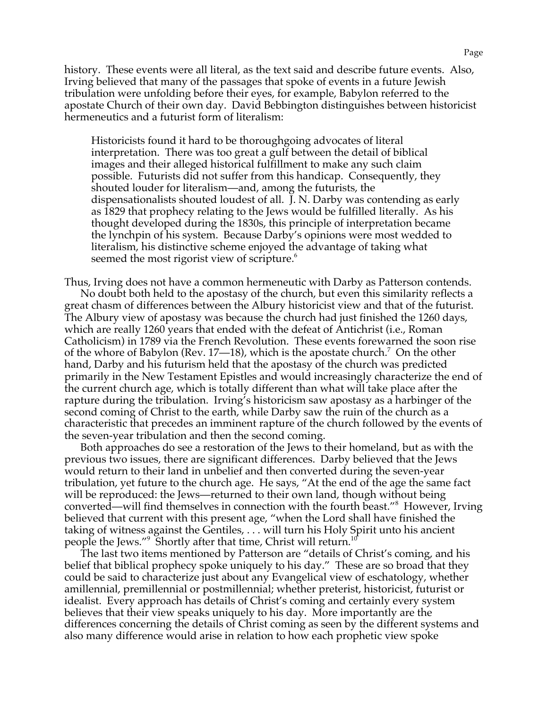history. These events were all literal, as the text said and describe future events. Also, Irving believed that many of the passages that spoke of events in a future Jewish tribulation were unfolding before their eyes, for example, Babylon referred to the apostate Church of their own day. David Bebbington distinguishes between historicist hermeneutics and a futurist form of literalism:

Historicists found it hard to be thoroughgoing advocates of literal interpretation. There was too great a gulf between the detail of biblical images and their alleged historical fulfillment to make any such claim possible. Futurists did not suffer from this handicap. Consequently, they shouted louder for literalism—and, among the futurists, the dispensationalists shouted loudest of all. J. N. Darby was contending as early as 1829 that prophecy relating to the Jews would be fulfilled literally. As his thought developed during the 1830s, this principle of interpretation became the lynchpin of his system. Because Darby's opinions were most wedded to literalism, his distinctive scheme enjoyed the advantage of taking what seemed the most rigorist view of scripture.<sup>6</sup>

Thus, Irving does not have a common hermeneutic with Darby as Patterson contends. No doubt both held to the apostasy of the church, but even this similarity reflects a great chasm of differences between the Albury historicist view and that of the futurist. The Albury view of apostasy was because the church had just finished the 1260 days, which are really 1260 years that ended with the defeat of Antichrist (i.e., Roman Catholicism) in 1789 via the French Revolution. These events forewarned the soon rise of the whore of Babylon (Rev. 17—18), which is the apostate church.<sup>7</sup> On the other hand, Darby and his futurism held that the apostasy of the church was predicted primarily in the New Testament Epistles and would increasingly characterize the end of the current church age, which is totally different than what will take place after the rapture during the tribulation. Irving's historicism saw apostasy as a harbinger of the second coming of Christ to the earth, while Darby saw the ruin of the church as a characteristic that precedes an imminent rapture of the church followed by the events of the seven-year tribulation and then the second coming.

Both approaches do see a restoration of the Jews to their homeland, but as with the previous two issues, there are significant differences. Darby believed that the Jews would return to their land in unbelief and then converted during the seven-year tribulation, yet future to the church age. He says, "At the end of the age the same fact will be reproduced: the Jews—returned to their own land, though without being converted—will find themselves in connection with the fourth beast."<sup>8</sup> However, Irving believed that current with this present age, "when the Lord shall have finished the taking of witness against the Gentiles, . . . will turn his Holy Spirit unto his ancient people the Jews."<sup>9</sup> Shortly after that time, Christ will return.<sup>10</sup>

The last two items mentioned by Patterson are "details of Christ's coming, and his belief that biblical prophecy spoke uniquely to his day." These are so broad that they could be said to characterize just about any Evangelical view of eschatology, whether amillennial, premillennial or postmillennial; whether preterist, historicist, futurist or idealist. Every approach has details of Christ's coming and certainly every system believes that their view speaks uniquely to his day. More importantly are the differences concerning the details of Christ coming as seen by the different systems and also many difference would arise in relation to how each prophetic view spoke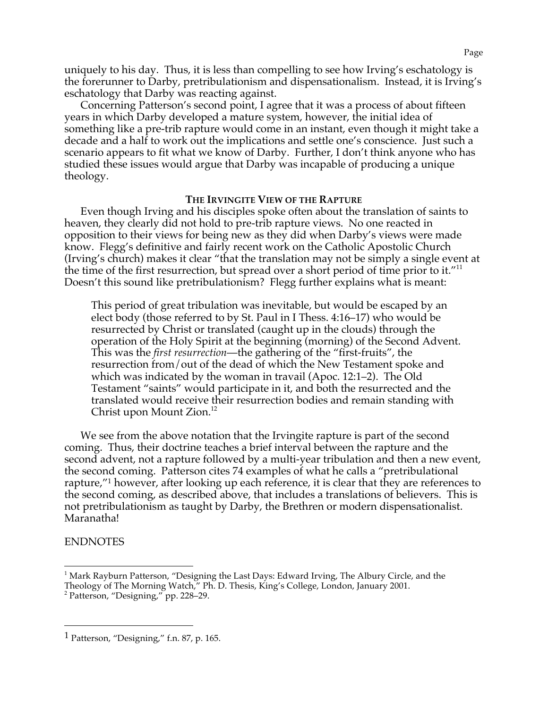uniquely to his day. Thus, it is less than compelling to see how Irving's eschatology is the forerunner to Darby, pretribulationism and dispensationalism. Instead, it is Irving's eschatology that Darby was reacting against.

Concerning Patterson's second point, I agree that it was a process of about fifteen years in which Darby developed a mature system, however, the initial idea of something like a pre-trib rapture would come in an instant, even though it might take a decade and a half to work out the implications and settle one's conscience. Just such a scenario appears to fit what we know of Darby. Further, I don't think anyone who has studied these issues would argue that Darby was incapable of producing a unique theology.

# **THE IRVINGITE VIEW OF THE RAPTURE**

Even though Irving and his disciples spoke often about the translation of saints to heaven, they clearly did not hold to pre-trib rapture views. No one reacted in opposition to their views for being new as they did when Darby's views were made know. Flegg's definitive and fairly recent work on the Catholic Apostolic Church (Irving's church) makes it clear "that the translation may not be simply a single event at the time of the first resurrection, but spread over a short period of time prior to it." $11$ Doesn't this sound like pretribulationism? Flegg further explains what is meant:

This period of great tribulation was inevitable, but would be escaped by an elect body (those referred to by St. Paul in I Thess. 4:16–17) who would be resurrected by Christ or translated (caught up in the clouds) through the operation of the Holy Spirit at the beginning (morning) of the Second Advent. This was the *first resurrection*—the gathering of the "first-fruits", the resurrection from/out of the dead of which the New Testament spoke and which was indicated by the woman in travail (Apoc. 12:1–2). The Old Testament "saints" would participate in it, and both the resurrected and the translated would receive their resurrection bodies and remain standing with Christ upon Mount Zion.<sup>12</sup>

We see from the above notation that the Irvingite rapture is part of the second coming. Thus, their doctrine teaches a brief interval between the rapture and the second advent, not a rapture followed by a multi-year tribulation and then a new event, the second coming. Patterson cites 74 examples of what he calls a "pretribulational rapture,"<sup>1</sup> however, after looking up each reference, it is clear that they are references to the second coming, as described above, that includes a translations of believers. This is not pretribulationism as taught by Darby, the Brethren or modern dispensationalist. Maranatha!

# ENDNOTES

<sup>&</sup>lt;sup>1</sup> Mark Rayburn Patterson, "Designing the Last Days: Edward Irving, The Albury Circle, and the Theology of The Morning Watch," Ph. D. Thesis, King's College, London, January 2001.

<sup>2</sup> Patterson, "Designing," pp. 228–29.

 <sup>1</sup> Patterson, "Designing," f.n. 87, p. 165.